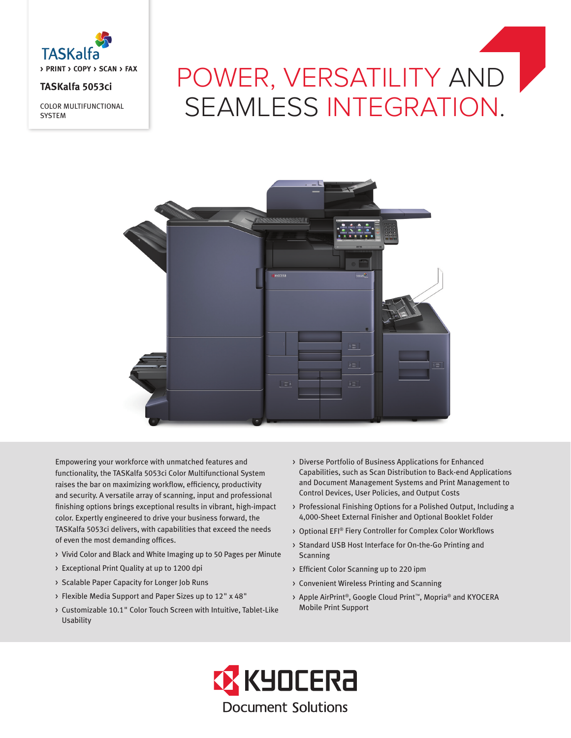

## **TASKalfa 5053ci**

COLOR MULTIFUNCTIONAL **SYSTEM** 

# POWER, VERSATILITY AND SEAMLESS INTEGRATION.



Empowering your workforce with unmatched features and functionality, the TASKalfa 5053ci Color Multifunctional System raises the bar on maximizing workflow, efficiency, productivity and security. A versatile array of scanning, input and professional finishing options brings exceptional results in vibrant, high-impact color. Expertly engineered to drive your business forward, the TASKalfa 5053ci delivers, with capabilities that exceed the needs of even the most demanding offices.

- > Vivid Color and Black and White Imaging up to 50 Pages per Minute
- > Exceptional Print Quality at up to 1200 dpi
- > Scalable Paper Capacity for Longer Job Runs
- > Flexible Media Support and Paper Sizes up to 12" x 48"
- > Customizable 10.1" Color Touch Screen with Intuitive, Tablet-Like Usability
- > Diverse Portfolio of Business Applications for Enhanced Capabilities, such as Scan Distribution to Back-end Applications and Document Management Systems and Print Management to Control Devices, User Policies, and Output Costs
- > Professional Finishing Options for a Polished Output, Including a 4,000-Sheet External Finisher and Optional Booklet Folder
- > Optional EFI® Fiery Controller for Complex Color Workflows
- > Standard USB Host Interface for On-the-Go Printing and Scanning
- > Efficient Color Scanning up to 220 ipm
- > Convenient Wireless Printing and Scanning
- > Apple AirPrint®, Google Cloud Print™, Mopria® and KYOCERA Mobile Print Support